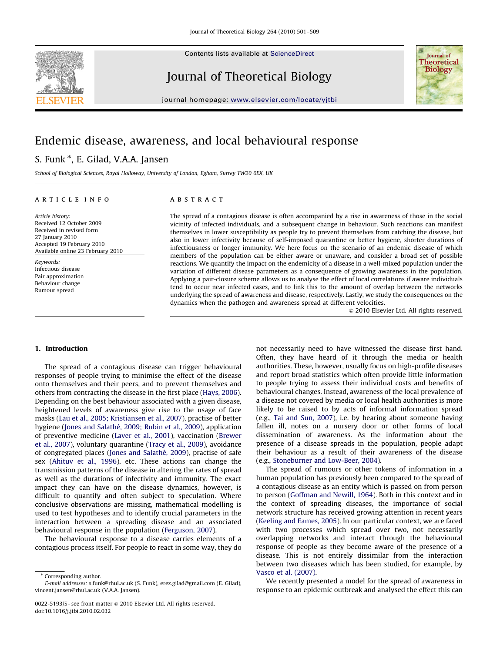Contents lists available at ScienceDirect

Journal of Theoretical Biology



journal homepage: <www.elsevier.com/locate/yjtbi>

# Endemic disease, awareness, and local behavioural response

# S. Funk \*, E. Gilad, V.A.A. Jansen

School of Biological Sciences, Royal Holloway, University of London, Egham, Surrey TW20 0EX, UK

## article info

Article history: Received 12 October 2009 Received in revised form 27 January 2010 Accepted 19 February 2010 Available online 23 February 2010

Keywords: Infectious disease Pair approximation Behaviour change Rumour spread

## **ABSTRACT**

The spread of a contagious disease is often accompanied by a rise in awareness of those in the social vicinity of infected individuals, and a subsequent change in behaviour. Such reactions can manifest themselves in lower susceptibility as people try to prevent themselves from catching the disease, but also in lower infectivity because of self-imposed quarantine or better hygiene, shorter durations of infectiousness or longer immunity. We here focus on the scenario of an endemic disease of which members of the population can be either aware or unaware, and consider a broad set of possible reactions. We quantify the impact on the endemicity of a disease in a well-mixed population under the variation of different disease parameters as a consequence of growing awareness in the population. Applying a pair-closure scheme allows us to analyse the effect of local correlations if aware individuals tend to occur near infected cases, and to link this to the amount of overlap between the networks underlying the spread of awareness and disease, respectively. Lastly, we study the consequences on the dynamics when the pathogen and awareness spread at different velocities.

 $\circ$  2010 Elsevier Ltd. All rights reserved.

## 1. Introduction

The spread of a contagious disease can trigger behavioural responses of people trying to minimise the effect of the disease onto themselves and their peers, and to prevent themselves and others from contracting the disease in the first place ([Hays, 2006\)](#page-8-0). Depending on the best behaviour associated with a given disease, heightened levels of awareness give rise to the usage of face masks ([Lau et al., 2005; Kristiansen et al., 2007](#page-8-0)), practise of better hygiene (Jones and Salathé, 2009; Rubin et al., 2009), application of preventive medicine [\(Laver et al., 2001](#page-8-0)), vaccination [\(Brewer](#page-8-0) [et al., 2007](#page-8-0)), voluntary quarantine ([Tracy et al., 2009](#page-8-0)), avoidance of congregated places (Jones and Salathé, 2009), practise of safe sex [\(Ahituv et al., 1996](#page-8-0)), etc. These actions can change the transmission patterns of the disease in altering the rates of spread as well as the durations of infectivity and immunity. The exact impact they can have on the disease dynamics, however, is difficult to quantify and often subject to speculation. Where conclusive observations are missing, mathematical modelling is used to test hypotheses and to identify crucial parameters in the interaction between a spreading disease and an associated behavioural response in the population [\(Ferguson, 2007\)](#page-8-0).

The behavioural response to a disease carries elements of a contagious process itself. For people to react in some way, they do

\* Corresponding author.

not necessarily need to have witnessed the disease first hand. Often, they have heard of it through the media or health authorities. These, however, usually focus on high-profile diseases and report broad statistics which often provide little information to people trying to assess their individual costs and benefits of behavioural changes. Instead, awareness of the local prevalence of a disease not covered by media or local health authorities is more likely to be raised to by acts of informal information spread (e.g., [Tai and Sun, 2007\)](#page-8-0), i.e. by hearing about someone having fallen ill, notes on a nursery door or other forms of local dissemination of awareness. As the information about the presence of a disease spreads in the population, people adapt their behaviour as a result of their awareness of the disease (e.g., [Stoneburner and Low-Beer, 2004](#page-8-0)).

The spread of rumours or other tokens of information in a human population has previously been compared to the spread of a contagious disease as an entity which is passed on from person to person [\(Goffman and Newill, 1964](#page-8-0)). Both in this context and in the context of spreading diseases, the importance of social network structure has received growing attention in recent years ([Keeling and Eames, 2005\)](#page-8-0). In our particular context, we are faced with two processes which spread over two, not necessarily overlapping networks and interact through the behavioural response of people as they become aware of the presence of a disease. This is not entirely dissimilar from the interaction between two diseases which has been studied, for example, by [Vasco et al. \(2007\)](#page-8-0).

We recently presented a model for the spread of awareness in response to an epidemic outbreak and analysed the effect this can

E-mail addresses: [s.funk@rhul.ac.uk \(S. Funk\)](mailto:s.funk@rhul.ac.uk), [erez.gilad@gmail.com \(E. Gilad\)](mailto:erez.gilad@rhul.ac.uk), [vincent.jansen@rhul.ac.uk \(V.A.A. Jansen\)](mailto:vincent.jansen@rhul.ac.uk).

<sup>0022-5193/\$ -</sup> see front matter @ 2010 Elsevier Ltd. All rights reserved. doi:[10.1016/j.jtbi.2010.02.032](dx.doi.org/10.1016/j.jtbi.2010.02.032)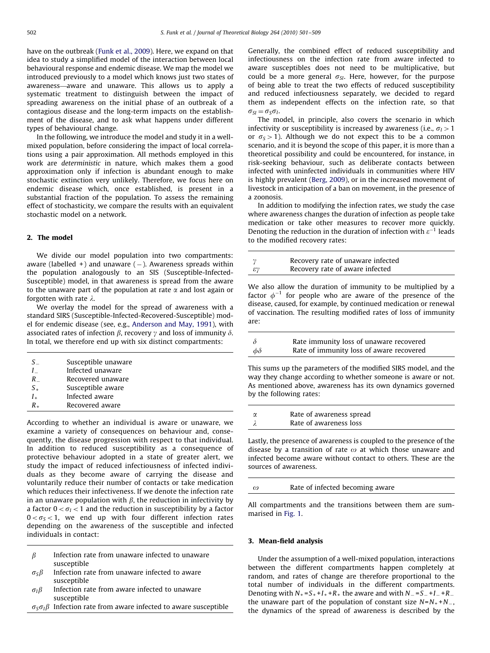have on the outbreak [\(Funk et al., 2009](#page-8-0)). Here, we expand on that idea to study a simplified model of the interaction between local behavioural response and endemic disease. We map the model we introduced previously to a model which knows just two states of awareness—aware and unaware. This allows us to apply a systematic treatment to distinguish between the impact of spreading awareness on the initial phase of an outbreak of a contagious disease and the long-term impacts on the establishment of the disease, and to ask what happens under different types of behavioural change.

In the following, we introduce the model and study it in a wellmixed population, before considering the impact of local correlations using a pair approximation. All methods employed in this work are deterministic in nature, which makes them a good approximation only if infection is abundant enough to make stochastic extinction very unlikely. Therefore, we focus here on endemic disease which, once established, is present in a substantial fraction of the population. To assess the remaining effect of stochasticity, we compare the results with an equivalent stochastic model on a network.

## 2. The model

We divide our model population into two compartments: aware (labelled +) and unaware ( – ). Awareness spreads within the population analogously to an SIS (Susceptible-Infected-Susceptible) model, in that awareness is spread from the aware to the unaware part of the population at rate  $\alpha$  and lost again or forgotten with rate  $\lambda$ .

We overlay the model for the spread of awareness with a standard SIRS (Susceptible-Infected-Recovered-Susceptible) model for endemic disease (see, e.g., [Anderson and May, 1991](#page-8-0)), with associated rates of infection  $\beta$ , recovery  $\gamma$  and loss of immunity  $\delta$ . In total, we therefore end up with six distinct compartments:

| S.      | Susceptible unaware |
|---------|---------------------|
| L       | Infected unaware    |
| R       | Recovered unaware   |
| $S_{+}$ | Susceptible aware   |
| $I_{+}$ | Infected aware      |
| R.      | Recovered aware     |

According to whether an individual is aware or unaware, we examine a variety of consequences on behaviour and, consequently, the disease progression with respect to that individual. In addition to reduced susceptibility as a consequence of protective behaviour adopted in a state of greater alert, we study the impact of reduced infectiousness of infected individuals as they become aware of carrying the disease and voluntarily reduce their number of contacts or take medication which reduces their infectiveness. If we denote the infection rate in an unaware population with  $\beta$ , the reduction in infectivity by a factor  $0 < \sigma_I < 1$  and the reduction in susceptibility by a factor  $0 < \sigma_S < 1$ , we end up with four different infection rates depending on the awareness of the susceptible and infected individuals in contact:

- $\beta$  Infection rate from unaware infected to unaware susceptible
- $\sigma_S \beta$  Infection rate from unaware infected to aware susceptible
- $\sigma_I \beta$  Infection rate from aware infected to unaware susceptible
- $\sigma_S\sigma_I\beta$  Infection rate from aware infected to aware susceptible

Generally, the combined effect of reduced susceptibility and infectiousness on the infection rate from aware infected to aware susceptibles does not need to be multiplicative, but could be a more general  $\sigma_{SI}$ . Here, however, for the purpose of being able to treat the two effects of reduced susceptibility and reduced infectiousness separately, we decided to regard them as independent effects on the infection rate, so that  $\sigma_{SI} = \sigma_S \sigma_I$ .

The model, in principle, also covers the scenario in which infectivity or susceptibility is increased by awareness (i.e.,  $\sigma$ <sub>I</sub> > 1 or  $\sigma_s > 1$ ). Although we do not expect this to be a common scenario, and it is beyond the scope of this paper, it is more than a theoretical possibility and could be encountered, for instance, in risk-seeking behaviour, such as deliberate contacts between infected with uninfected individuals in communities where HIV is highly prevalent ([Berg, 2009\)](#page-8-0), or in the increased movement of livestock in anticipation of a ban on movement, in the presence of a zoonosis.

In addition to modifying the infection rates, we study the case where awareness changes the duration of infection as people take medication or take other measures to recover more quickly. Denoting the reduction in the duration of infection with  $\varepsilon^{-1}$  leads to the modified recovery rates:

|                 | Recovery rate of unaware infected |
|-----------------|-----------------------------------|
| $\varepsilon$ ν | Recovery rate of aware infected   |

We also allow the duration of immunity to be multiplied by a factor  $\phi^{-1}$  for people who are aware of the presence of the disease, caused, for example, by continued medication or renewal of vaccination. The resulting modified rates of loss of immunity are:

|              | Rate immunity loss of unaware recovered  |
|--------------|------------------------------------------|
| $\phi\delta$ | Rate of immunity loss of aware recovered |

This sums up the parameters of the modified SIRS model, and the way they change according to whether someone is aware or not. As mentioned above, awareness has its own dynamics governed by the following rates:

| $\gamma$ | Rate of awareness spread |
|----------|--------------------------|
|          | Rate of awareness loss   |

Lastly, the presence of awareness is coupled to the presence of the disease by a transition of rate  $\omega$  at which those unaware and infected become aware without contact to others. These are the sources of awareness.

| $\omega$ | Rate of infected becoming aware |
|----------|---------------------------------|
|          |                                 |

All compartments and the transitions between them are summarised in [Fig. 1](#page-2-0).

## 3. Mean-field analysis

Under the assumption of a well-mixed population, interactions between the different compartments happen completely at random, and rates of change are therefore proportional to the total number of individuals in the different compartments. Denoting with  $N_+ = S_+ + I_+ + R_+$  the aware and with  $N_- = S_- + I_- + R_$ the unaware part of the population of constant size  $N=N_+ + N_$ the dynamics of the spread of awareness is described by the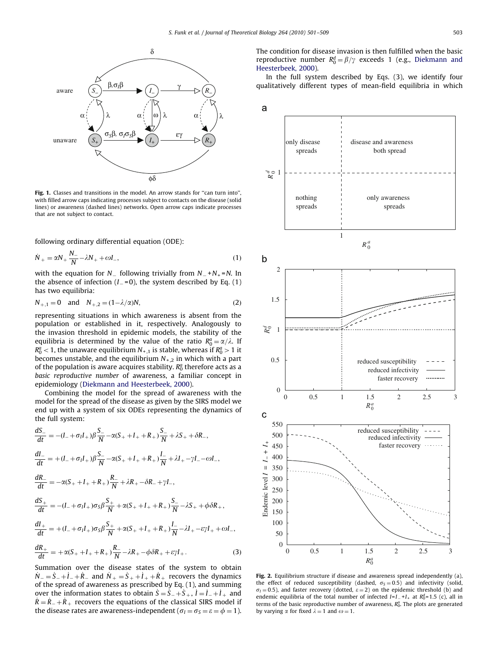<span id="page-2-0"></span>

Fig. 1. Classes and transitions in the model. An arrow stands for "can turn into", with filled arrow caps indicating processes subject to contacts on the disease (solid lines) or awareness (dashed lines) networks. Open arrow caps indicate processes that are not subject to contact.

following ordinary differential equation (ODE):

$$
\dot{N}_{+} = \alpha N_{+} \frac{N_{-}}{N} - \lambda N_{+} + \omega I_{-},
$$
\n(1)

with the equation for N $_{-}$  following trivially from N $_{-}$  +N<sub>+</sub> =N. In the absence of infection (I $_{-}$ =0), the system described by Eq. (1) has two equilibria:

$$
N_{+,1} = 0
$$
 and  $N_{+,2} = (1 - \lambda/\alpha)N,$  (2)

representing situations in which awareness is absent from the population or established in it, respectively. Analogously to the invasion threshold in epidemic models, the stability of the equilibria is determined by the value of the ratio  $R_0^a = \alpha/\lambda$ . If  $R_0^a < 1$ , the unaware equilibrium  $N_{+,1}$  is stable, whereas if  $R_0^a > 1$  it becomes unstable, and the equilibrium  $N_{+2}$  in which with a part of the population is aware acquires stability.  $R_0^a$  therefore acts as a basic reproductive number of awareness, a familiar concept in epidemiology [\(Diekmann and Heesterbeek, 2000\)](#page-8-0).

Combining the model for the spread of awareness with the model for the spread of the disease as given by the SIRS model we end up with a system of six ODEs representing the dynamics of the full system:

$$
\frac{dS_{-}}{dt} = -(I_{-} + \sigma_{I}I_{+})\beta \frac{S_{-}}{N} - \alpha(S_{+} + I_{+} + R_{+})\frac{S_{-}}{N} + \lambda S_{+} + \delta R_{-},
$$
  
\n
$$
\frac{dI_{-}}{dt} = +(I_{-} + \sigma_{I}I_{+})\beta \frac{S_{-}}{N} - \alpha(S_{+} + I_{+} + R_{+})\frac{I_{-}}{N} + \lambda I_{+} - \gamma I_{-} - \omega I_{-},
$$
  
\n
$$
\frac{dR_{-}}{dt} = -\alpha(S_{+} + I_{+} + R_{+})\frac{R_{-}}{N} + \lambda R_{+} - \delta R_{-} + \gamma I_{-},
$$
  
\n
$$
\frac{dS_{+}}{dt} = -(I_{-} + \sigma_{I}I_{+})\sigma_{S}\beta \frac{S_{+}}{N} + \alpha(S_{+} + I_{+} + R_{+})\frac{S_{-}}{N} - \lambda S_{+} + \phi \delta R_{+},
$$
  
\n
$$
\frac{dI_{+}}{dt} = +(I_{-} + \sigma_{I}I_{+})\sigma_{S}\beta \frac{S_{+}}{N} + \alpha(S_{+} + I_{+} + R_{+})\frac{I_{-}}{N} - \lambda I_{+} - \varepsilon \gamma I_{+} + \omega I_{-},
$$

$$
\frac{dR_+}{dt} = +\alpha(S_+ + I_+ + R_+) \frac{R_-}{N} - \lambda R_+ - \phi \delta R_+ + \varepsilon \gamma I_+.
$$
\n(3)

Summation over the disease states of the system to obtain  $\dot{N}_- = \dot{S}_- + \dot{I}_- + \dot{R}_-$  and  $\dot{N}_+ = \dot{S}_+ + \dot{I}_+ + \dot{R}_+$  recovers the dynamics of the spread of awareness as prescribed by Eq. (1), and summing over the information states to obtain  $\dot{S} = \dot{S}_- + \dot{S}_+$ ,  $\dot{I} = \dot{I}_- + \dot{I}_+$  and  $\dot{R} = \dot{R}_{-} + \dot{R}_{+}$  recovers the equations of the classical SIRS model if the disease rates are awareness-independent ( $\sigma_{I} = \sigma_{S} = \varepsilon = \phi = 1$ ). The condition for disease invasion is then fulfilled when the basic reproductive number  $R_0^d = \beta/\gamma$  exceeds 1 (e.g., [Diekmann and](#page-8-0) [Heesterbeek, 2000\)](#page-8-0).

In the full system described by Eqs. (3), we identify four



Fig. 2. Equilibrium structure if disease and awareness spread independently (a), the effect of reduced susceptibility (dashed,  $\sigma_s = 0.5$ ) and infectivity (solid,  $\sigma_l$  = 0.5), and faster recovery (dotted,  $\varepsilon$  = 2) on the epidemic threshold (b) and endemic equilibria of the total number of infected  $I=I_{-}+I_{+}$  at  $R_0^d=1.5$  (c), all in terms of the basic reproductive number of awareness,  $R_0^a$ . The plots are generated by varying  $\alpha$  for fixed  $\lambda = 1$  and  $\omega = 1$ .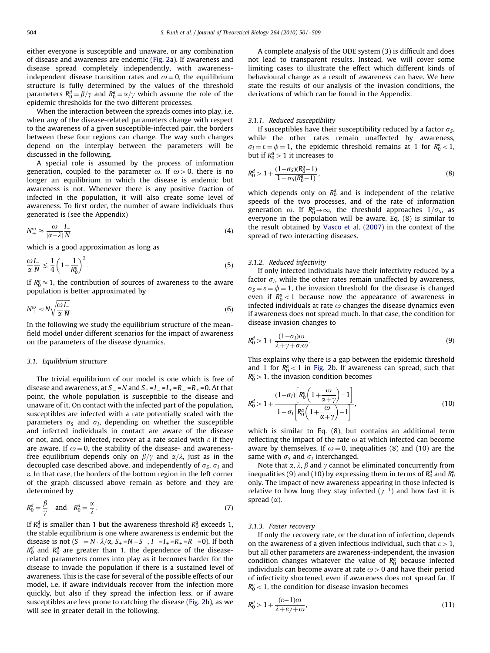either everyone is susceptible and unaware, or any combination of disease and awareness are endemic [\(Fig. 2a](#page-2-0)). If awareness and disease spread completely independently, with awarenessindependent disease transition rates and  $\omega = 0$ , the equilibrium structure is fully determined by the values of the threshold parameters  $R_0^d = \beta/\gamma$  and  $R_0^a = \alpha/\gamma$  which assume the role of the epidemic thresholds for the two different processes.

When the interaction between the spreads comes into play, i.e. when any of the disease-related parameters change with respect to the awareness of a given susceptible-infected pair, the borders between these four regions can change. The way such changes depend on the interplay between the parameters will be discussed in the following.

A special role is assumed by the process of information generation, coupled to the parameter  $\omega$ . If  $\omega > 0$ , there is no longer an equilibrium in which the disease is endemic but awareness is not. Whenever there is any positive fraction of infected in the population, it will also create some level of awareness. To first order, the number of aware individuals thus generated is (see the Appendix)

$$
N^{\omega}_{+} \approx \frac{\omega}{|\alpha - \lambda|} \frac{I_{-}}{N}
$$
 (4)

which is a good approximation as long as

$$
\frac{\omega I_{-}}{\alpha N} \lesssim \frac{1}{4} \left( 1 - \frac{1}{R_0^a} \right)^2.
$$
\n(5)

If  $R_0^a \approx 1$ , the contribution of sources of awareness to the aware population is better approximated by

$$
N_{+}^{\omega} \approx N \sqrt{\frac{\omega L}{\alpha N}}.
$$
\n(6)

In the following we study the equilibrium structure of the meanfield model under different scenarios for the impact of awareness on the parameters of the disease dynamics.

## 3.1. Equilibrium structure

The trivial equilibrium of our model is one which is free of disease and awareness, at S\_ =N and S<sub>+</sub> =I\_ =I<sub>+</sub> =R\_ =R<sub>+</sub>=0. At that point, the whole population is susceptible to the disease and unaware of it. On contact with the infected part of the population, susceptibles are infected with a rate potentially scaled with the parameters  $\sigma_s$  and  $\sigma_l$ , depending on whether the susceptible and infected individuals in contact are aware of the disease or not, and, once infected, recover at a rate scaled with  $\varepsilon$  if they are aware. If  $\omega = 0$ , the stability of the disease- and awarenessfree equilibrium depends only on  $\beta/\gamma$  and  $\alpha/\lambda$ , just as in the decoupled case described above, and independently of  $\sigma_S$ ,  $\sigma_I$  and e. In that case, the borders of the bottom region in the left corner of the graph discussed above remain as before and they are determined by

$$
R_0^d = \frac{\beta}{\gamma} \quad \text{and} \quad R_0^a = \frac{\alpha}{\lambda}.
$$
 (7)

If  $R_0^d$  is smaller than 1 but the awareness threshold  $R_0^a$  exceeds 1, the stable equilibrium is one where awareness is endemic but the disease is not  $(S_ = N \cdot \lambda/\alpha, S_+ = N - S_-, I_- = I_+ = R_+ = R_- = 0)$ . If both  $R_0^d$  and  $R_0^a$  are greater than 1, the dependence of the diseaserelated parameters comes into play as it becomes harder for the disease to invade the population if there is a sustained level of awareness. This is the case for several of the possible effects of our model, i.e. if aware individuals recover from the infection more quickly, but also if they spread the infection less, or if aware susceptibles are less prone to catching the disease ([Fig. 2b](#page-2-0)), as we will see in greater detail in the following.

A complete analysis of the ODE system (3) is difficult and does not lead to transparent results. Instead, we will cover some limiting cases to illustrate the effect which different kinds of behavioural change as a result of awareness can have. We here state the results of our analysis of the invasion conditions, the derivations of which can be found in the Appendix.

## 3.1.1. Reduced susceptibility

If susceptibles have their susceptibility reduced by a factor  $\sigma_S$ , while the other rates remain unaffected by awareness,  $\sigma_l = \varepsilon = \phi = 1$ , the epidemic threshold remains at 1 for  $R_0^a < 1$ , but if  $R_0^a > 1$  it increases to

$$
R_0^d > 1 + \frac{(1 - \sigma_S)(R_0^a - 1)}{1 + \sigma_S(R_0^a - 1)},
$$
\n(8)

which depends only on  $R_0^a$  and is independent of the relative speeds of the two processes, and of the rate of information generation  $\omega$ . If  $R_0^a \rightarrow \infty$ , the threshold approaches  $1/\sigma_s$ , as everyone in the population will be aware. Eq. (8) is similar to the result obtained by [Vasco et al. \(2007\)](#page-8-0) in the context of the spread of two interacting diseases.

## 3.1.2. Reduced infectivity

If only infected individuals have their infectivity reduced by a factor  $\sigma$ <sub>I</sub>, while the other rates remain unaffected by awareness,  $\sigma_S = \varepsilon = \phi = 1$ , the invasion threshold for the disease is changed even if  $R_0^a < 1$  because now the appearance of awareness in infected individuals at rate  $\omega$  changes the disease dynamics even if awareness does not spread much. In that case, the condition for disease invasion changes to

$$
R_0^d > 1 + \frac{(1 - \sigma_1)\omega}{\lambda + \gamma + \sigma_1\omega}.
$$
\n(9)

This explains why there is a gap between the epidemic threshold and 1 for  $R_0^a < 1$  in [Fig. 2](#page-2-0)b. If awareness can spread, such that  $R_0^a > 1$ , the invasion condition becomes

$$
R_0^d > 1 + \frac{(1 - \sigma_i) \left[ R_0^a \left( 1 + \frac{\omega}{\alpha + \gamma} \right) - 1 \right]}{1 + \sigma_i \left[ R_0^a \left( 1 + \frac{\omega}{\alpha + \gamma} \right) - 1 \right]},
$$
\n(10)

which is similar to Eq. (8), but contains an additional term reflecting the impact of the rate  $\omega$  at which infected can become aware by themselves. If  $\omega = 0$ , inequalities (8) and (10) are the same with  $\sigma_S$  and  $\sigma_I$  interchanged.

Note that  $\alpha$ ,  $\lambda$ ,  $\beta$  and  $\gamma$  cannot be eliminated concurrently from inequalities (9) and (10) by expressing them in terms of  $R_0^d$  and  $R_0^{\alpha}$ only. The impact of new awareness appearing in those infected is relative to how long they stay infected  $(\gamma^{-1})$  and how fast it is spread  $(\alpha)$ .

#### 3.1.3. Faster recovery

If only the recovery rate, or the duration of infection, depends on the awareness of a given infectious individual, such that  $\varepsilon > 1$ , but all other parameters are awareness-independent, the invasion condition changes whatever the value of  $R_0^a$  because infected individuals can become aware at rate  $\omega > 0$  and have their period of infectivity shortened, even if awareness does not spread far. If  $R_0^a$  < 1, the condition for disease invasion becomes

$$
R_0^d > 1 + \frac{(\varepsilon - 1)\omega}{\lambda + \varepsilon \gamma + \omega},\tag{11}
$$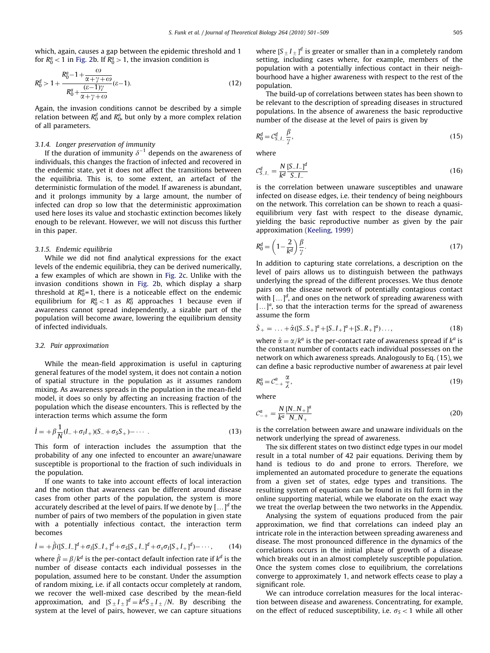which, again, causes a gap between the epidemic threshold and 1 for  $R_0^a < 1$  in [Fig. 2](#page-2-0)b. If  $R_0^a > 1$ , the invasion condition is

$$
R_0^d > 1 + \frac{R_0^a - 1 + \frac{\omega}{\alpha + \gamma + \omega}}{R_0^a + \frac{(\varepsilon - 1)\gamma}{\alpha + \gamma + \omega}} (\varepsilon - 1).
$$
 (12)

Again, the invasion conditions cannot be described by a simple relation between  $R_0^d$  and  $R_0^a$ , but only by a more complex relation of all parameters.

# 3.1.4. Longer preservation of immunity

If the duration of immunity  $\delta^{-1}$  depends on the awareness of individuals, this changes the fraction of infected and recovered in the endemic state, yet it does not affect the transitions between the equilibria. This is, to some extent, an artefact of the deterministic formulation of the model. If awareness is abundant, and it prolongs immunity by a large amount, the number of infected can drop so low that the deterministic approximation used here loses its value and stochastic extinction becomes likely enough to be relevant. However, we will not discuss this further in this paper.

## 3.1.5. Endemic equilibria

While we did not find analytical expressions for the exact levels of the endemic equilibria, they can be derived numerically, a few examples of which are shown in [Fig. 2](#page-2-0)c. Unlike with the invasion conditions shown in [Fig. 2](#page-2-0)b, which display a sharp threshold at  $R_0^a$ =1, there is a noticeable effect on the endemic equilibrium for  $R_0^a < 1$  as  $R_0^a$  approaches 1 because even if awareness cannot spread independently, a sizable part of the population will become aware, lowering the equilibrium density of infected individuals.

# 3.2. Pair approximation

While the mean-field approximation is useful in capturing general features of the model system, it does not contain a notion of spatial structure in the population as it assumes random mixing. As awareness spreads in the population in the mean-field model, it does so only by affecting an increasing fraction of the population which the disease encounters. This is reflected by the interaction terms which assume the form

$$
\dot{I} = +\beta \frac{1}{N} (I_{-} + \sigma_{I} I_{+}) (S_{-} + \sigma_{S} S_{+}) - \cdots
$$
 (13)

This form of interaction includes the assumption that the probability of any one infected to encounter an aware/unaware susceptible is proportional to the fraction of such individuals in the population.

If one wants to take into account effects of local interaction and the notion that awareness can be different around disease cases from other parts of the population, the system is more accurately described at the level of pairs. If we denote by  $[...]^d$  the number of pairs of two members of the population in given state with a potentially infectious contact, the interaction term becomes

$$
\dot{I} = +\hat{\beta}([S_{-}I_{-}]^d + \sigma_I[S_{-}I_{+}]^d + \sigma_S[S_{+}I_{-}]^d + \sigma_S \sigma_I[S_{+}I_{+}]^d) - \cdots,
$$
 (14)

where  $\hat{\beta} = \beta / k^d$  is the per-contact default infection rate if  $k^d$  is the number of disease contacts each individual possesses in the population, assumed here to be constant. Under the assumption of random mixing, i.e. if all contacts occur completely at random, we recover the well-mixed case described by the mean-field approximation, and  $[S_{\pm} I_{\pm}]^d = k^d S_{\pm} I_{\pm}/N$ . By describing the system at the level of pairs, however, we can capture situations

where [S $_{\pm}$  I $_{\pm}$ ]<sup>d</sup> is greater or smaller than in a completely random setting, including cases where, for example, members of the population with a potentially infectious contact in their neighbourhood have a higher awareness with respect to the rest of the population.

The build-up of correlations between states has been shown to be relevant to the description of spreading diseases in structured populations. In the absence of awareness the basic reproductive number of the disease at the level of pairs is given by

$$
R_0^d = C_{S-L}^d \frac{\beta}{\gamma},\tag{15}
$$

where

$$
C_{S-L}^d = \frac{N}{k^d} \frac{[S_{-}L_{-}]}{S_{-}L_{-}} \tag{16}
$$

is the correlation between unaware susceptibles and unaware infected on disease edges, i.e. their tendency of being neighbours on the network. This correlation can be shown to reach a quasiequilibrium very fast with respect to the disease dynamic, yielding the basic reproductive number as given by the pair approximation ([Keeling, 1999](#page-8-0))

$$
R_0^d = \left(1 - \frac{2}{k^d}\right) \frac{\beta}{\gamma}.\tag{17}
$$

In addition to capturing state correlations, a description on the level of pairs allows us to distinguish between the pathways underlying the spread of the different processes. We thus denote pairs on the disease network of potentially contagious contact with  $\left[\ldots\right]^d$ , and ones on the network of spreading awareness with  $[...]^a$ , so that the interaction terms for the spread of awareness assume the form

$$
\dot{S}_{+} = \dots + \hat{\alpha} ([S_{-}S_{+}]^{a} + [S_{-}I_{+}]^{a} + [S_{-}R_{+}]^{a}) \dots,
$$
\n(18)

where  $\hat{\alpha} = \alpha / k^a$  is the per-contact rate of awareness spread if  $k^a$  is the constant number of contacts each individual possesses on the network on which awareness spreads. Analogously to Eq. (15), we can define a basic reproductive number of awareness at pair level

$$
R_0^a = \mathcal{C}_{-+}^a \frac{\alpha}{\lambda},\tag{19}
$$

where

$$
C_{-+}^{a} = \frac{N}{k^{a}} \frac{[N_{-}N_{+}]^{a}}{N_{-}N_{+}}
$$
\n(20)

is the correlation between aware and unaware individuals on the network underlying the spread of awareness.

The six different states on two distinct edge types in our model result in a total number of 42 pair equations. Deriving them by hand is tedious to do and prone to errors. Therefore, we implemented an automated procedure to generate the equations from a given set of states, edge types and transitions. The resulting system of equations can be found in its full form in the online supporting material, while we elaborate on the exact way we treat the overlap between the two networks in the Appendix.

Analysing the system of equations produced from the pair approximation, we find that correlations can indeed play an intricate role in the interaction between spreading awareness and disease. The most pronounced difference in the dynamics of the correlations occurs in the initial phase of growth of a disease which breaks out in an almost completely susceptible population. Once the system comes close to equilibrium, the correlations converge to approximately 1, and network effects cease to play a significant role.

We can introduce correlation measures for the local interaction between disease and awareness. Concentrating, for example, on the effect of reduced susceptibility, i.e.  $\sigma_s$  < 1 while all other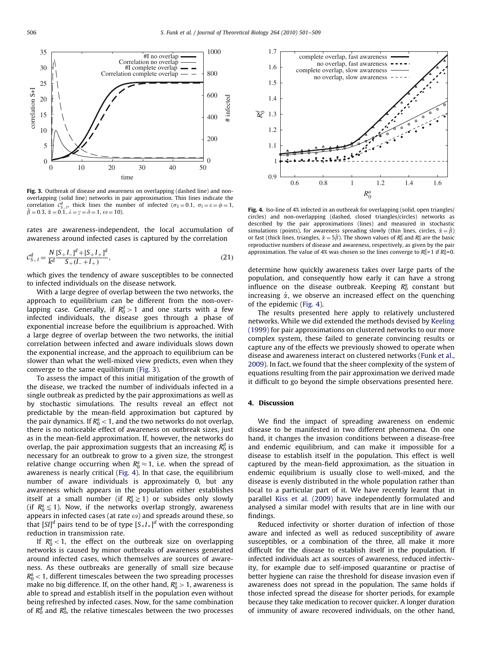

Fig. 3. Outbreak of disease and awareness on overlapping (dashed line) and nonoverlapping (solid line) networks in pair approximation. Thin lines indicate the correlation  $C_{S_+}^d$ , thick lines the number of infected  $(\sigma_S = 0.1, \sigma_I = \varepsilon = \phi = 1,$ <br>  $\hat{\beta} = 0.3$   $\hat{\alpha} = 0.1$ ,  $\lambda = \nu = \delta = 1$ ,  $\omega = 10$ )  $\hat{\beta} = 0.3, \hat{\alpha} = 0.1, \lambda = \gamma = \delta = 1, \omega = 10.$ 

rates are awareness-independent, the local accumulation of awareness around infected cases is captured by the correlation

$$
\mathcal{C}_{S_+I}^d = \frac{N \left[ S + I_- \right]^d + \left[ S + I_+ \right]^d}{S_+ (I_- + I_+)},\tag{21}
$$

which gives the tendency of aware susceptibles to be connected to infected individuals on the disease network.

With a large degree of overlap between the two networks, the approach to equilibrium can be different from the non-overlapping case. Generally, if  $R_0^d > 1$  and one starts with a few infected individuals, the disease goes through a phase of exponential increase before the equilibrium is approached. With a large degree of overlap between the two networks, the initial correlation between infected and aware individuals slows down the exponential increase, and the approach to equilibrium can be slower than what the well-mixed view predicts, even when they converge to the same equilibrium (Fig. 3).

To assess the impact of this initial mitigation of the growth of the disease, we tracked the number of individuals infected in a single outbreak as predicted by the pair approximations as well as by stochastic simulations. The results reveal an effect not predictable by the mean-field approximation but captured by the pair dynamics. If  $R_0^a < 1$ , and the two networks do not overlap, there is no noticeable effect of awareness on outbreak sizes, just as in the mean-field approximation. If, however, the networks do overlap, the pair approximation suggests that an increasing  $R_0^d$  is necessary for an outbreak to grow to a given size, the strongest relative change occurring when  $R_0^a \approx 1$ , i.e. when the spread of awareness is nearly critical (Fig. 4). In that case, the equilibrium number of aware individuals is approximately 0, but any awareness which appears in the population either establishes itself at a small number (if  $R_0^a \gtrsim 1$ ) or subsides only slowly (if  $R_0^a \lesssim 1$ ). Now, if the networks overlap strongly, awareness appears in infected cases (at rate  $\omega$ ) and spreads around these, so that  $[SI]^d$  pairs tend to be of type  $[S_+I_+]^d$  with the corresponding reduction in transmission rate.

If  $R_0^a < 1$ , the effect on the outbreak size on overlapping networks is caused by minor outbreaks of awareness generated around infected cases, which themselves are sources of awareness. As these outbreaks are generally of small size because  $R_0^a < 1$ , different timescales between the two spreading processes make no big difference. If, on the other hand,  $R_0^a > 1$ , awareness is able to spread and establish itself in the population even without being refreshed by infected cases. Now, for the same combination of  $R_0^d$  and  $R_0^a$ , the relative timescales between the two processes



Fig. 4. Iso-line of 4% infected in an outbreak for overlapping (solid, open triangles/ circles) and non-overlapping (dashed, closed triangles/circles) networks as described by the pair approximations (lines) and measured in stochastic simulations (points), for awareness spreading slowly (thin lines, circles,  $\hat{\alpha} = \hat{\beta}$ ) or fast (thick lines, triangles,  $\hat{\alpha} = 5\hat{\beta}$ ). The shown values of  $R_0^d$  and  $R_0^a$  are the basic reproductive numbers of disease and awareness, respectively, as given by the pair approximation. The value of 4% was chosen so the lines converge to  $R_0^d$ =1 if  $R_0^a$ =0.

determine how quickly awareness takes over large parts of the population, and consequently how early it can have a strong influence on the disease outbreak. Keeping  $R_0^a$  constant but increasing  $\hat{\alpha}$ , we observe an increased effect on the quenching of the epidemic (Fig. 4).

The results presented here apply to relatively unclustered networks. While we did extended the methods devised by [Keeling](#page-8-0) [\(1999\)](#page-8-0) for pair approximations on clustered networks to our more complex system, these failed to generate convincing results or capture any of the effects we previously showed to operate when disease and awareness interact on clustered networks ([Funk et al.,](#page-8-0) [2009\)](#page-8-0). In fact, we found that the sheer complexity of the system of equations resulting from the pair approximation we derived made it difficult to go beyond the simple observations presented here.

# 4. Discussion

We find the impact of spreading awareness on endemic disease to be manifested in two different phenomena. On one hand, it changes the invasion conditions between a disease-free and endemic equilibrium, and can make it impossible for a disease to establish itself in the population. This effect is well captured by the mean-field approximation, as the situation in endemic equilibrium is usually close to well-mixed, and the disease is evenly distributed in the whole population rather than local to a particular part of it. We have recently learnt that in parallel [Kiss et al. \(2009\)](#page-8-0) have independently formulated and analysed a similar model with results that are in line with our findings.

Reduced infectivity or shorter duration of infection of those aware and infected as well as reduced susceptibility of aware susceptibles, or a combination of the three, all make it more difficult for the disease to establish itself in the population. If infected individuals act as sources of awareness, reduced infectivity, for example due to self-imposed quarantine or practise of better hygiene can raise the threshold for disease invasion even if awareness does not spread in the population. The same holds if those infected spread the disease for shorter periods, for example because they take medication to recover quicker. A longer duration of immunity of aware recovered individuals, on the other hand,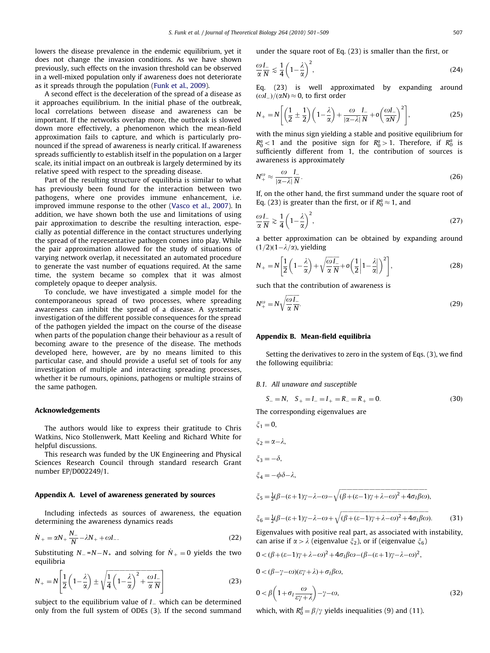lowers the disease prevalence in the endemic equilibrium, yet it does not change the invasion conditions. As we have shown previously, such effects on the invasion threshold can be observed in a well-mixed population only if awareness does not deteriorate as it spreads through the population [\(Funk et al., 2009](#page-8-0)).

A second effect is the deceleration of the spread of a disease as it approaches equilibrium. In the initial phase of the outbreak, local correlations between disease and awareness can be important. If the networks overlap more, the outbreak is slowed down more effectively, a phenomenon which the mean-field approximation fails to capture, and which is particularly pronounced if the spread of awareness is nearly critical. If awareness spreads sufficiently to establish itself in the population on a larger scale, its initial impact on an outbreak is largely determined by its relative speed with respect to the spreading disease.

Part of the resulting structure of equilibria is similar to what has previously been found for the interaction between two pathogens, where one provides immune enhancement, i.e. improved immune response to the other ([Vasco et al., 2007\)](#page-8-0). In addition, we have shown both the use and limitations of using pair approximation to describe the resulting interaction, especially as potential difference in the contact structures underlying the spread of the representative pathogen comes into play. While the pair approximation allowed for the study of situations of varying network overlap, it necessitated an automated procedure to generate the vast number of equations required. At the same time, the system became so complex that it was almost completely opaque to deeper analysis.

To conclude, we have investigated a simple model for the contemporaneous spread of two processes, where spreading awareness can inhibit the spread of a disease. A systematic investigation of the different possible consequences for the spread of the pathogen yielded the impact on the course of the disease when parts of the population change their behaviour as a result of becoming aware to the presence of the disease. The methods developed here, however, are by no means limited to this particular case, and should provide a useful set of tools for any investigation of multiple and interacting spreading processes, whether it be rumours, opinions, pathogens or multiple strains of the same pathogen.

#### Acknowledgements

The authors would like to express their gratitude to Chris Watkins, Nico Stollenwerk, Matt Keeling and Richard White for helpful discussions.

This research was funded by the UK Engineering and Physical Sciences Research Council through standard research Grant number EP/D002249/1.

## Appendix A. Level of awareness generated by sources

Including infecteds as sources of awareness, the equation determining the awareness dynamics reads

$$
\dot{N}_{+} = \alpha N_{+} \frac{N_{-}}{N} - \lambda N_{+} + \omega I_{-}.
$$
\n(22)

Substituting  $N_{-} = N - N_{+}$  and solving for  $N_{+} = 0$  yields the two equilibria

$$
N_{+} = N \left[ \frac{1}{2} \left( 1 - \frac{\lambda}{\alpha} \right) \pm \sqrt{\frac{1}{4} \left( 1 - \frac{\lambda}{\alpha} \right)^{2} + \frac{\omega}{\alpha} \frac{l}{N}} \right] \tag{23}
$$

subject to the equilibrium value of  $I_-$  which can be determined only from the full system of ODEs (3). If the second summand under the square root of Eq. (23) is smaller than the first, or

$$
\frac{\omega L}{\alpha N} \lesssim \frac{1}{4} \left( 1 - \frac{\lambda}{\alpha} \right)^2,\tag{24}
$$

Eq. (23) is well approximated by expanding around  $(\omega L)/(\alpha N) \approx 0$ , to first order

$$
N_{+} = N \left[ \left( \frac{1}{2} \pm \frac{1}{2} \right) \left( 1 - \frac{\lambda}{\alpha} \right) + \frac{\omega}{|\alpha - \lambda|} \frac{I_{-}}{N} + o \left( \frac{\omega I_{-}}{\alpha N} \right)^{2} \right],
$$
 (25)

with the minus sign yielding a stable and positive equilibrium for  $R_0^a < 1$  and the positive sign for  $R_0^a > 1$ . Therefore, if  $R_0^a$  is sufficiently different from 1, the contribution of sources is awareness is approximately

$$
N_{+}^{\omega} \approx \frac{\omega}{|\alpha - \lambda|} \frac{I_{-}}{N}.
$$
 (26)

If, on the other hand, the first summand under the square root of Eq. (23) is greater than the first, or if  $R_0^a \approx 1$ , and

$$
\frac{\omega I_{-}}{\alpha N} \gtrsim \frac{1}{4} \left( 1 - \frac{\lambda}{\alpha} \right)^2,\tag{27}
$$

a better approximation can be obtained by expanding around  $(1/2)(1-\lambda/\alpha)$ , yielding

$$
N_{+} = N \left[ \frac{1}{2} \left( 1 - \frac{\lambda}{\alpha} \right) + \sqrt{\frac{\omega L}{\alpha N}} + o \left( \frac{1}{2} \left| 1 - \frac{\lambda}{\alpha} \right| \right)^{2} \right],
$$
 (28)

such that the contribution of awareness is

$$
N_{+}^{\omega} = N \sqrt{\frac{\omega}{\alpha}} \frac{I_{-}}{N}.
$$
 (29)

## Appendix B. Mean-field equilibria

Setting the derivatives to zero in the system of Eqs. (3), we find the following equilibria:

## B.1. All unaware and susceptible

$$
S_{-} = N, \quad S_{+} = I_{-} = I_{+} = R_{-} = R_{+} = 0. \tag{30}
$$

The corresponding eigenvalues are

$$
\xi_1 = 0,
$$
  
\n
$$
\xi_2 = \alpha - \lambda,
$$
  
\n
$$
\xi_3 = -\delta,
$$
  
\n
$$
\xi_4 = -\phi \delta - \lambda,
$$

$$
\xi_5 = \frac{1}{2}(\beta - (\epsilon + 1)\gamma - \lambda - \omega - \sqrt{(\beta + (\epsilon - 1)\gamma + \lambda - \omega)^2 + 4\sigma_1\beta\omega}),
$$

$$
\zeta_6 = \frac{1}{2}(\beta - (\varepsilon + 1)\gamma - \lambda - \omega + \sqrt{(\beta + (\varepsilon - 1)\gamma + \lambda - \omega)^2 + 4\sigma_I \beta \omega}).
$$
 (31)

Eigenvalues with positive real part, as associated with instability, can arise if  $\alpha > \lambda$  (eigenvalue  $\xi_2$ ), or if (eigenvalue  $\xi_6$ )

$$
0 < (\beta + (\varepsilon - 1)\gamma + \lambda - \omega)^2 + 4\sigma_1 \beta \omega - (\beta - (\varepsilon + 1)\gamma - \lambda - \omega)^2,
$$
  
\n
$$
0 < (\beta - \gamma - \omega)(\varepsilon \gamma + \lambda) + \sigma_1 \beta \omega,
$$
  
\n
$$
0 < \beta \left(1 + \sigma_1 \frac{\omega}{\varepsilon \gamma + \lambda}\right) - \gamma - \omega,
$$
\n(32)

which, with  $R_0^d = \beta/\gamma$  yields inequalities (9) and (11).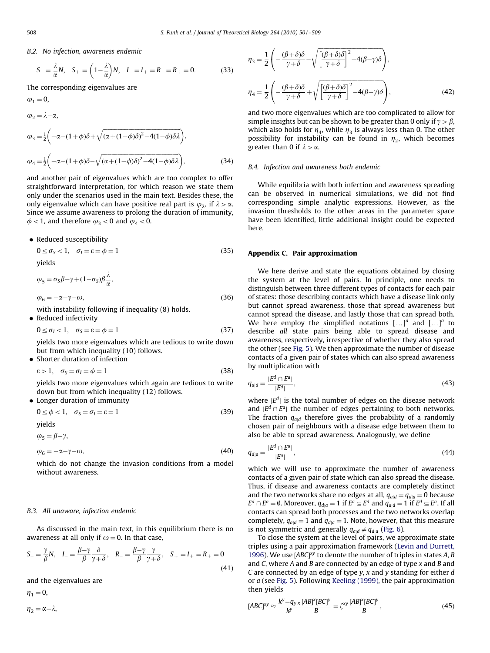B.2. No infection, awareness endemic

$$
S_{-} = \frac{\lambda}{\alpha} N, \quad S_{+} = \left(1 - \frac{\lambda}{\alpha}\right) N, \quad L = I_{+} = R_{-} = R_{+} = 0. \tag{33}
$$

The corresponding eigenvalues are

$$
\varphi_2 = \lambda - \alpha,
$$
  
\n
$$
\varphi_3 = \frac{1}{2} \left( -\alpha - (1 + \phi)\delta + \sqrt{(\alpha + (1 - \phi)\delta)^2 - 4(1 - \phi)\delta\lambda} \right),
$$
  
\n
$$
\varphi_4 = \frac{1}{2} \left( -\alpha - (1 + \phi)\delta - \sqrt{(\alpha + (1 - \phi)\delta)^2 - 4(1 - \phi)\delta\lambda} \right),
$$
\n(34)

and another pair of eigenvalues which are too complex to offer straightforward interpretation, for which reason we state them only under the scenarios used in the main text. Besides these, the only eigenvalue which can have positive real part is  $\varphi_2$ , if  $\lambda > \alpha$ . Since we assume awareness to prolong the duration of immunity,  $\phi$  < 1, and therefore  $\varphi_3$  < 0 and  $\varphi_4$  < 0.

• Reduced susceptibility

$$
0 \le \sigma_S < 1, \quad \sigma_I = \varepsilon = \phi = 1 \tag{35}
$$
\nyields

$$
y_{\text{rel}}
$$

$$
\varphi_5 = \sigma_S \beta - \gamma + (1 - \sigma_S) \beta \frac{\lambda}{\alpha},
$$
  
\n
$$
\varphi_6 = -\alpha - \gamma - \omega,
$$
\n(36)

with instability following if inequality (8) holds.

• Reduced infectivity

$$
0 \le \sigma_I < 1, \quad \sigma_S = \varepsilon = \phi = 1 \tag{37}
$$

yields two more eigenvalues which are tedious to write down but from which inequality (10) follows.

• Shorter duration of infection

$$
\varepsilon > 1, \quad \sigma_S = \sigma_I = \phi = 1 \tag{38}
$$

yields two more eigenvalues which again are tedious to write down but from which inequality (12) follows.

# Longer duration of immunity

$$
0 \le \phi < 1, \quad \sigma_S = \sigma_I = \varepsilon = 1 \tag{39}
$$

yields

$$
\varphi_5 = \beta - \gamma,
$$

$$
\varphi_6 = -\alpha - \gamma - \omega,\tag{40}
$$

which do not change the invasion conditions from a model without awareness.

## B.3. All unaware, infection endemic

As discussed in the main text, in this equilibrium there is no awareness at all only if  $\omega = 0$ . In that case,

$$
S_{-} = \frac{\gamma}{\beta} N, \quad I_{-} = \frac{\beta - \gamma}{\beta} \frac{\delta}{\gamma + \delta}, \quad R_{-} = \frac{\beta - \gamma}{\beta} \frac{\gamma}{\gamma + \delta}, \quad S_{+} = I_{+} = R_{+} = 0 \tag{41}
$$

and the eigenvalues are

 $\eta_1 = 0,$ 

$$
\eta_2=\alpha{-}\lambda,
$$

$$
\eta_3 = \frac{1}{2} \left( -\frac{(\beta + \delta)\delta}{\gamma + \delta} - \sqrt{\left[ \frac{(\beta + \delta)\delta}{\gamma + \delta} \right]^2 - 4(\beta - \gamma)\delta} \right),
$$

$$
\eta_4 = \frac{1}{2} \left( -\frac{(\beta + \delta)\delta}{\gamma + \delta} + \sqrt{\left[ \frac{(\beta + \delta)\delta}{\gamma + \delta} \right]^2 - 4(\beta - \gamma)\delta} \right),
$$
(42)

and two more eigenvalues which are too complicated to allow for simple insights but can be shown to be greater than 0 only if  $\gamma > \beta$ , which also holds for  $\eta_4$ , while  $\eta_3$  is always less than 0. The other possibility for instability can be found in  $\eta_2$ , which becomes greater than 0 if  $\lambda > \alpha$ .

## B.4. Infection and awareness both endemic

While equilibria with both infection and awareness spreading can be observed in numerical simulations, we did not find corresponding simple analytic expressions. However, as the invasion thresholds to the other areas in the parameter space have been identified, little additional insight could be expected here.

## Appendix C. Pair approximation

We here derive and state the equations obtained by closing the system at the level of pairs. In principle, one needs to distinguish between three different types of contacts for each pair of states: those describing contacts which have a disease link only but cannot spread awareness, those that spread awareness but cannot spread the disease, and lastly those that can spread both. We here employ the simplified notations  $[\,\dots]^{d}$  and  $[\,\dots]^{a}$  to describe all state pairs being able to spread disease and awareness, respectively, irrespective of whether they also spread the other (see [Fig. 5](#page-8-0)). We then approximate the number of disease contacts of a given pair of states which can also spread awareness by multiplication with

$$
q_{a|d} = \frac{|E^d \cap E^a|}{|E^d|},\tag{43}
$$

where  $|E^d|$  is the total number of edges on the disease network and  $|E^d \cap E^a|$  the number of edges pertaining to both networks. The fraction  $q_{\text{add}}$  therefore gives the probability of a randomly chosen pair of neighbours with a disease edge between them to also be able to spread awareness. Analogously, we define

$$
q_{d|a} = \frac{|E^d \cap E^a|}{|E^a|},\tag{44}
$$

which we will use to approximate the number of awareness contacts of a given pair of state which can also spread the disease. Thus, if disease and awareness contacts are completely distinct and the two networks share no edges at all,  $q_{a|d} = q_{d|a} = 0$  because  $E^d \cap E^a = \emptyset$ . Moreover,  $q_{d|a} = 1$  if  $E^a \subseteq E^d$  and  $q_{a|d} = 1$  if  $E^d \subseteq E^a$ . If all contacts can spread both processes and the two networks overlap completely,  $q_{a|d} = 1$  and  $q_{d|a} = 1$ . Note, however, that this measure is not symmetric and generally  $q_{a|d} \neq q_{d|a}$  [\(Fig. 6](#page-8-0)).

To close the system at the level of pairs, we approximate state triples using a pair approximation framework ([Levin and Durrett,](#page-8-0) [1996](#page-8-0)). We use  $[ABC]^{xy}$  to denote the number of triples in states A, B and C, where A and B are connected by an edge of type  $x$  and B and C are connected by an edge of type  $y$ ,  $x$  and  $y$  standing for either  $d$ or a (see [Fig. 5\)](#page-8-0). Following [Keeling \(1999\)](#page-8-0), the pair approximation then yields

$$
[ABC]^{\text{xy}} \approx \frac{k^{\text{y}} - q_{\text{y|x}}}{k^{\text{y}}} \frac{[AB]^{\text{x}}[BC]^{\text{y}}}{B} = \zeta^{\text{xy}} \frac{[AB]^{\text{x}}[BC]^{\text{y}}}{B},\tag{45}
$$

 $\omega_i = 0$